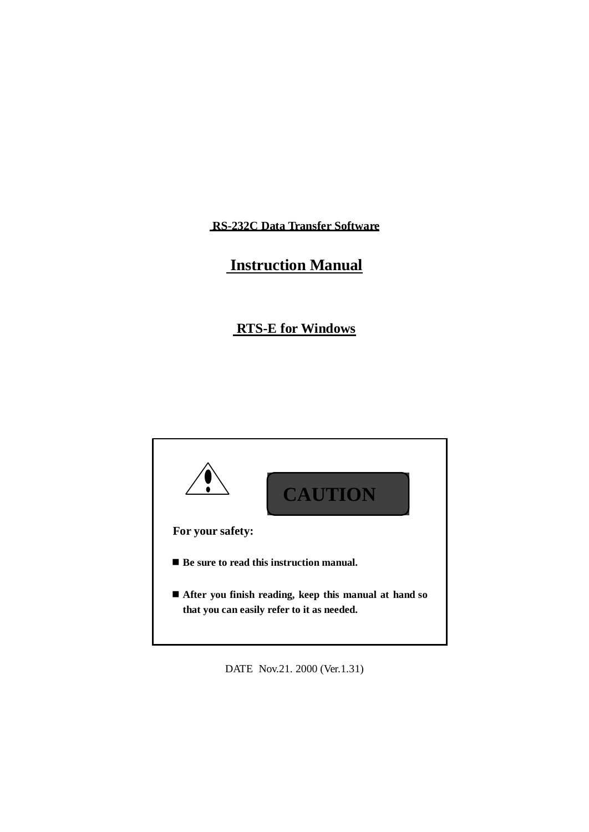**RS-232C Data Transfer Software**

# **Instruction Manual**

# **RTS-E for Windows**



DATE Nov.21. 2000 (Ver.1.31)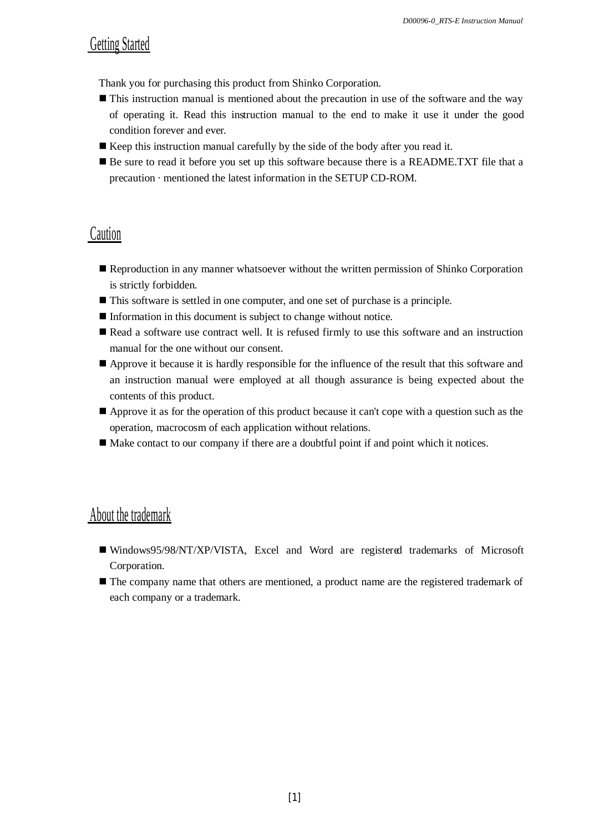# Getting Started

Thank you for purchasing this product from Shinko Corporation.

- This instruction manual is mentioned about the precaution in use of the software and the way of operating it. Read this instruction manual to the end to make it use it under the good condition forever and ever.
- $\blacksquare$  Keep this instruction manual carefully by the side of the body after you read it.
- Be sure to read it before you set up this software because there is a README.TXT file that a precaution · mentioned the latest information in the SETUP CD-ROM.

# Caution

- Reproduction in any manner whatsoever without the written permission of Shinko Corporation is strictly forbidden.
- This software is settled in one computer, and one set of purchase is a principle.
- Information in this document is subject to change without notice.
- Read a software use contract well. It is refused firmly to use this software and an instruction manual for the one without our consent.
- Approve it because it is hardly responsible for the influence of the result that this software and an instruction manual were employed at all though assurance is being expected about the contents of this product.
- Approve it as for the operation of this product because it can't cope with a question such as the operation, macrocosm of each application without relations.
- Make contact to our company if there are a doubtful point if and point which it notices.

# About the trademark

- Windows95/98/NT/XP/VISTA, Excel and Word are registered trademarks of Microsoft Corporation.
- The company name that others are mentioned, a product name are the registered trademark of each company or a trademark.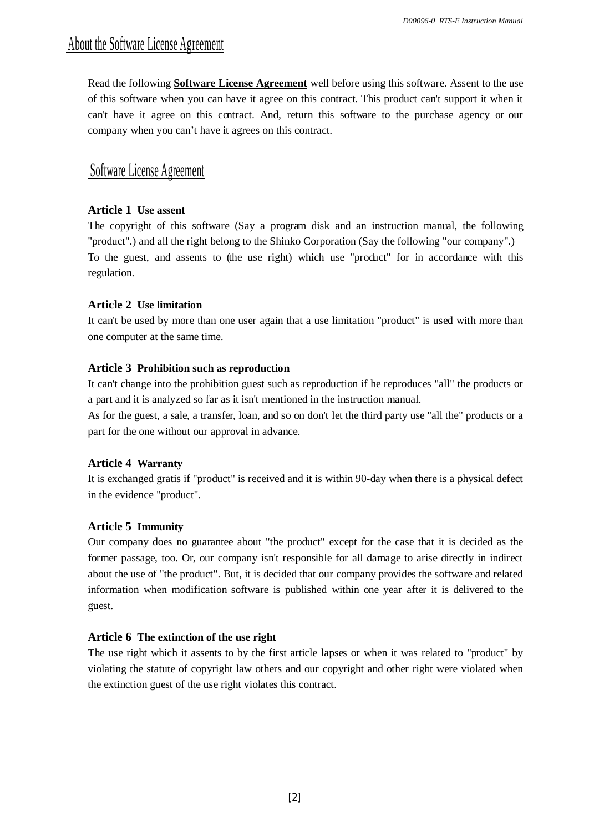# About the Software License Agreement

Read the following **Software License Agreement** well before using this software. Assent to the use of this software when you can have it agree on this contract. This product can't support it when it can't have it agree on this contract. And, return this software to the purchase agency or our company when you can't have it agrees on this contract.

# Software License Agreement

# **Article 1 Use assent**

The copyright of this software (Say a program disk and an instruction manual, the following "product".) and all the right belong to the Shinko Corporation (Say the following "our company".) To the guest, and assents to (the use right) which use "product" for in accordance with this regulation.

# **Article 2 Use limitation**

It can't be used by more than one user again that a use limitation "product" is used with more than one computer at the same time.

# **Article 3 Prohibition such as reproduction**

It can't change into the prohibition guest such as reproduction if he reproduces "all" the products or a part and it is analyzed so far as it isn't mentioned in the instruction manual.

As for the guest, a sale, a transfer, loan, and so on don't let the third party use "all the" products or a part for the one without our approval in advance.

# **Article 4 Warranty**

It is exchanged gratis if "product" is received and it is within 90-day when there is a physical defect in the evidence "product".

# **Article 5 Immunity**

Our company does no guarantee about "the product" except for the case that it is decided as the former passage, too. Or, our company isn't responsible for all damage to arise directly in indirect about the use of "the product". But, it is decided that our company provides the software and related information when modification software is published within one year after it is delivered to the guest.

# **Article 6 The extinction of the use right**

The use right which it assents to by the first article lapses or when it was related to "product" by violating the statute of copyright law others and our copyright and other right were violated when the extinction guest of the use right violates this contract.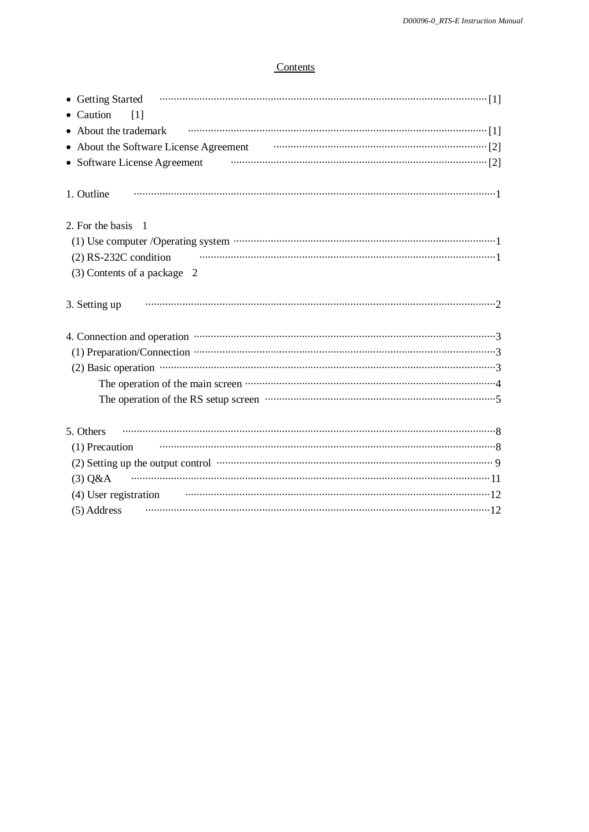# Contents

| • Getting Started Financial Communication of the Started Table 3 and Table 3 and Table 3 and Table 3 and Table 3 and Table 3 and Table 3 and Table 3 and Table 3 and Table 3 and Table 3 and Table 3 and Table 3 and Table 3 a                                                                                                 |
|--------------------------------------------------------------------------------------------------------------------------------------------------------------------------------------------------------------------------------------------------------------------------------------------------------------------------------|
| • Caution<br>[1]                                                                                                                                                                                                                                                                                                               |
| • About the trademark                                                                                                                                                                                                                                                                                                          |
| • About the Software License Agreement <b>Constant (2)</b> About the Software License Agreement                                                                                                                                                                                                                                |
| • Software License Agreement <b>Constanting Constanting Constanting Constanting Constanting Constanting Constanting Constanting Constanting Constanting Constanting Constanting Constanting Constanting Constanting Constanting </b>                                                                                           |
|                                                                                                                                                                                                                                                                                                                                |
| 1. Outline                                                                                                                                                                                                                                                                                                                     |
| 2. For the basis 1                                                                                                                                                                                                                                                                                                             |
|                                                                                                                                                                                                                                                                                                                                |
| $(2)$ RS-232C condition                                                                                                                                                                                                                                                                                                        |
|                                                                                                                                                                                                                                                                                                                                |
| (3) Contents of a package 2                                                                                                                                                                                                                                                                                                    |
| 3. Setting up                                                                                                                                                                                                                                                                                                                  |
|                                                                                                                                                                                                                                                                                                                                |
|                                                                                                                                                                                                                                                                                                                                |
|                                                                                                                                                                                                                                                                                                                                |
| $(2)$ Basic operation $\cdots$ $\cdots$ $\cdots$ $\cdots$ $\cdots$ $\cdots$ $\cdots$ $\cdots$ $\cdots$ $\cdots$ $\cdots$ $\cdots$ $\cdots$ $\cdots$ $\cdots$ $\cdots$ $\cdots$ $\cdots$ $\cdots$ $\cdots$ $\cdots$ $\cdots$ $\cdots$ $\cdots$ $\cdots$ $\cdots$ $\cdots$ $\cdots$ $\cdots$ $\cdots$ $\cdots$ $\cdots$ $\cdots$ |
|                                                                                                                                                                                                                                                                                                                                |
|                                                                                                                                                                                                                                                                                                                                |
| 5. Others                                                                                                                                                                                                                                                                                                                      |
|                                                                                                                                                                                                                                                                                                                                |
| (1) Precaution                                                                                                                                                                                                                                                                                                                 |
| (2) Setting up the output control www.communications.com/                                                                                                                                                                                                                                                                      |
| $(3)$ Q&A                                                                                                                                                                                                                                                                                                                      |
| (4) User registration manufactured and the method of the set of the set of the set of the set of the set of the set of the set of the set of the set of the set of the set of the set of the set of the set of the set of the                                                                                                  |
| (5) Address                                                                                                                                                                                                                                                                                                                    |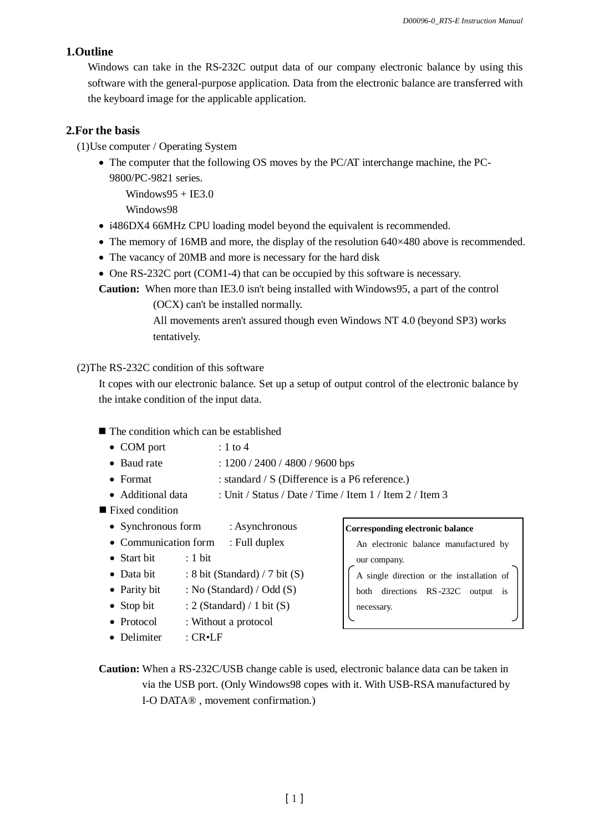# **1.Outline**

Windows can take in the RS-232C output data of our company electronic balance by using this software with the general-purpose application. Data from the electronic balance are transferred with the keyboard image for the applicable application.

# **2.For the basis**

(1)Use computer / Operating System

• The computer that the following OS moves by the PC/AT interchange machine, the PC-9800/PC-9821 series.

 $Windows95 + IE3.0$ 

Windows98

- i486DX4 66MHz CPU loading model beyond the equivalent is recommended.
- The memory of 16MB and more, the display of the resolution  $640\times480$  above is recommended.
- The vacancy of 20MB and more is necessary for the hard disk
- One RS-232C port (COM1-4) that can be occupied by this software is necessary.

**Caution:** When more than IE3.0 isn't being installed with Windows95, a part of the control

(OCX) can't be installed normally.

All movements aren't assured though even Windows NT 4.0 (beyond SP3) works tentatively.

# (2)The RS-232C condition of this software

It copes with our electronic balance. Set up a setup of output control of the electronic balance by the intake condition of the input data.

# ■ The condition which can be established

- $\bullet$  COM port  $: 1$  to 4
- Baud rate : 1200 / 2400 / 4800 / 9600 bps
- Format : standard / S (Difference is a P6 reference.)
- Additional data : Unit / Status / Date / Time / Item 1 / Item 2 / Item 3
- Fixed condition
	- Synchronous form : Asynchronous
- Communication form : Full duplex
- Start bit : 1 bit
- Data bit  $\therefore$  8 bit (Standard) / 7 bit (S)
- Parity bit  $\therefore$  No (Standard) / Odd (S)
- Stop bit  $: 2$  (Standard) / 1 bit (S)
- Protocol : Without a protocol
- Delimiter : CR•LF

#### **Corresponding electronic balance**

An electronic balance manufactured by our company. A single direction or the inst allation of both directions RS -232C output is

necessary.

**Caution:** When a RS-232C/USB change cable is used, electronic balance data can be taken in via the USB port. (Only Windows98 copes with it. With USB-RSA manufactured by I-O DATA® , movement confirmation.)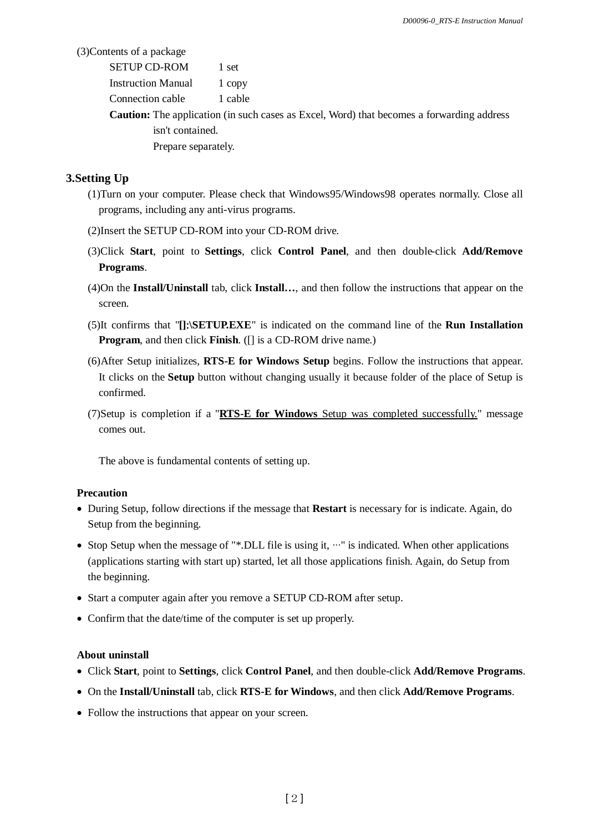(3)Contents of a package

| <b>SETUP CD-ROM</b>       | 1 set   |
|---------------------------|---------|
| <b>Instruction Manual</b> | 1 copy  |
| Connection cable          | 1 cable |

**Caution:** The application (in such cases as Excel, Word) that becomes a forwarding address isn't contained. Prepare separately.

## **3.Setting Up**

- (1)Turn on your computer. Please check that Windows95/Windows98 operates normally. Close all programs, including any anti-virus programs.
- (2)Insert the SETUP CD-ROM into your CD-ROM drive.
- (3)Click **Start**, point to **Settings**, click **Control Panel**, and then double-click **Add/Remove Programs**.
- (4)On the **Install/Uninstall** tab, click **Install…**, and then follow the instructions that appear on the screen.
- (5)It confirms that "**[]\SETUP.EXE**" is indicated on the command line of the **Run Installation Program**, and then click **Finish**. ([] is a CD-ROM drive name.)
- (6)After Setup initializes, **RTS-E for Windows Setup** begins. Follow the instructions that appear. It clicks on the **Setup** button without changing usually it because folder of the place of Setup is confirmed.
- (7)Setup is completion if a "**RTS-E for Windows** Setup was completed successfully." message comes out.

The above is fundamental contents of setting up.

#### **Precaution**

- During Setup, follow directions if the message that **Restart** is necessary for is indicate. Again, do Setup from the beginning.
- Stop Setup when the message of "\*.DLL file is using it,  $\cdots$ " is indicated. When other applications (applications starting with start up) started, let all those applications finish. Again, do Setup from the beginning.
- Start a computer again after you remove a SETUP CD-ROM after setup.
- Confirm that the date/time of the computer is set up properly.

### **About uninstall**

- Click **Start**, point to **Settings**, click **Control Panel**, and then double-click **Add/Remove Programs**.
- On the **Install/Uninstall** tab, click **RTS-E for Windows**, and then click **Add/Remove Programs**.
- Follow the instructions that appear on your screen.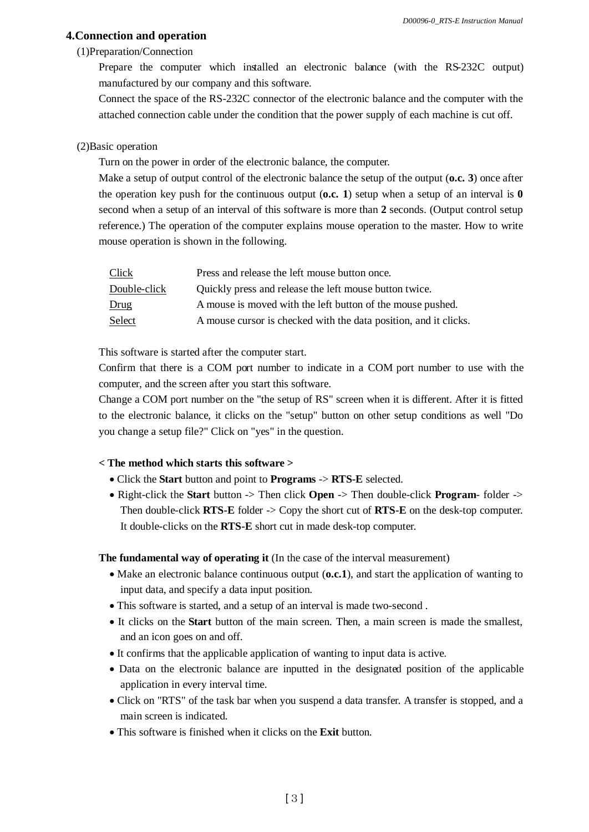### **4.Connection and operation**

#### (1)Preparation/Connection

Prepare the computer which installed an electronic balance (with the RS-232C output) manufactured by our company and this software.

Connect the space of the RS-232C connector of the electronic balance and the computer with the attached connection cable under the condition that the power supply of each machine is cut off.

### (2)Basic operation

Turn on the power in order of the electronic balance, the computer.

Make a setup of output control of the electronic balance the setup of the output (**o.c. 3**) once after the operation key push for the continuous output (**o.c.** 1) setup when a setup of an interval is  $\bf{0}$ second when a setup of an interval of this software is more than **2** seconds. (Output control setup reference.) The operation of the computer explains mouse operation to the master. How to write mouse operation is shown in the following.

| Click        | Press and release the left mouse button once.                    |
|--------------|------------------------------------------------------------------|
| Double-click | Quickly press and release the left mouse button twice.           |
| Drug         | A mouse is moved with the left button of the mouse pushed.       |
| Select       | A mouse cursor is checked with the data position, and it clicks. |

This software is started after the computer start.

Confirm that there is a COM port number to indicate in a COM port number to use with the computer, and the screen after you start this software.

Change a COM port number on the "the setup of RS" screen when it is different. After it is fitted to the electronic balance, it clicks on the "setup" button on other setup conditions as well "Do you change a setup file?" Click on "yes" in the question.

# **< The method which starts this software >**

- Click the **Start** button and point to **Programs** -> **RTS-E** selected.
- Right-click the **Start** button -> Then click **Open** -> Then double-click **Program** folder -> Then double-click **RTS-E** folder -> Copy the short cut of **RTS-E** on the desk-top computer. It double-clicks on the **RTS-E** short cut in made desk-top computer.

#### **The fundamental way of operating it** (In the case of the interval measurement)

- Make an electronic balance continuous output (**o.c.1**), and start the application of wanting to input data, and specify a data input position.
- This software is started, and a setup of an interval is made two-second .
- It clicks on the **Start** button of the main screen. Then, a main screen is made the smallest, and an icon goes on and off.
- It confirms that the applicable application of wanting to input data is active.
- Data on the electronic balance are inputted in the designated position of the applicable application in every interval time.
- Click on "RTS" of the task bar when you suspend a data transfer. A transfer is stopped, and a main screen is indicated.
- This software is finished when it clicks on the **Exit** button.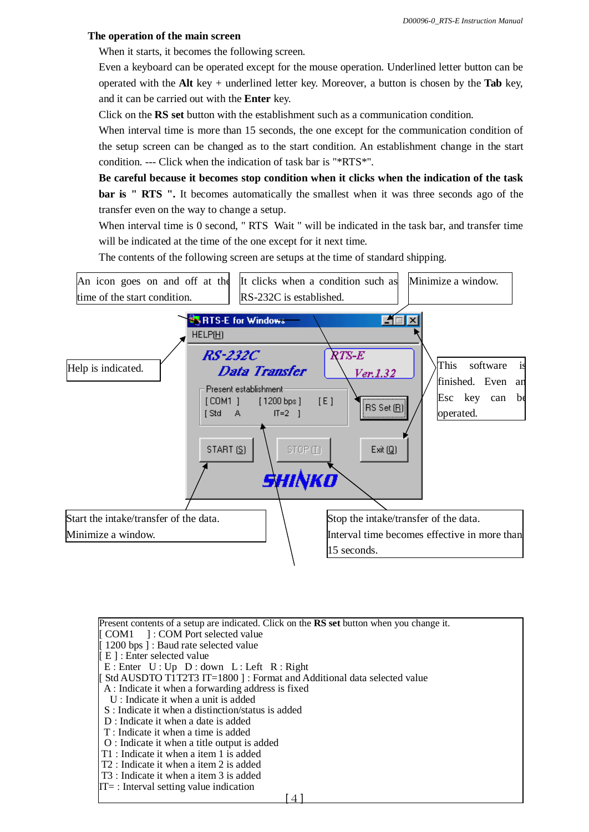### **The operation of the main screen**

When it starts, it becomes the following screen.

Even a keyboard can be operated except for the mouse operation. Underlined letter button can be operated with the **Alt** key + underlined letter key. Moreover, a button is chosen by the **Tab** key, and it can be carried out with the **Enter** key.

Click on the **RS set** button with the establishment such as a communication condition.

When interval time is more than 15 seconds, the one except for the communication condition of the setup screen can be changed as to the start condition. An establishment change in the start condition. --- Click when the indication of task bar is "\*RTS\*".

**Be careful because it becomes stop condition when it clicks when the indication of the task bar is " RTS ".** It becomes automatically the smallest when it was three seconds ago of the transfer even on the way to change a setup.

When interval time is 0 second, " RTS Wait " will be indicated in the task bar, and transfer time will be indicated at the time of the one except for it next time.

The contents of the following screen are setups at the time of standard shipping.



Present contents of a setup are indicated. Click on the **RS set** button when you change it. COM1 ] : COM Port selected value 1200 bps ] : Baud rate selected value E ] : Enter selected value  $E:$  Enter  $U:$  Up  $D:$  down  $L:$  Left  $R:$  Right Std AUSDTO T1T2T3 IT=1800 ] : Format and Additional data selected value A : Indicate it when a forwarding address is fixed U : Indicate it when a unit is added S : Indicate it when a distinction/status is added D : Indicate it when a date is added T : Indicate it when a time is added O : Indicate it when a title output is added T1 : Indicate it when a item 1 is added T2 : Indicate it when a item 2 is added T3 : Indicate it when a item 3 is added  $IT=$ : Interval setting value indication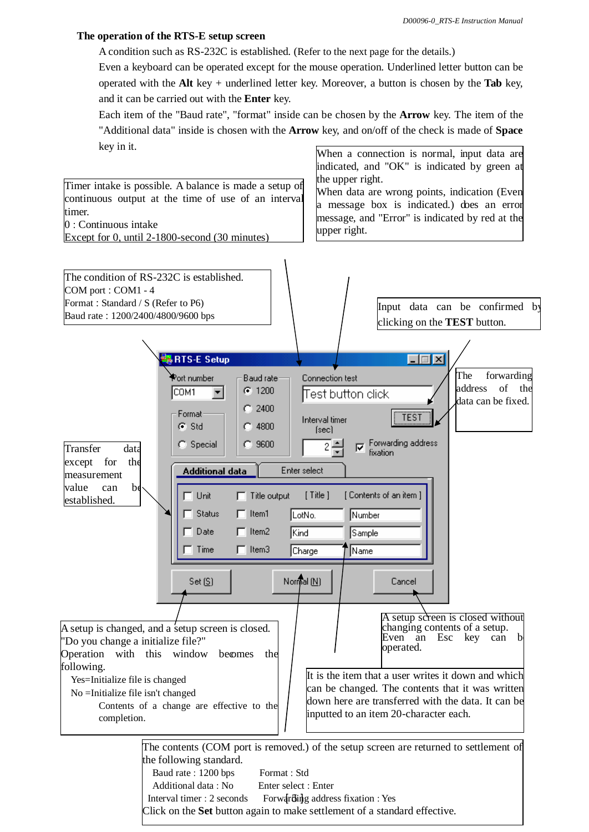## **The operation of the RTS-E setup screen**

A condition such as RS-232C is established. (Refer to the next page for the details.)

Even a keyboard can be operated except for the mouse operation. Underlined letter button can be operated with the **Alt** key + underlined letter key. Moreover, a button is chosen by the **Tab** key, and it can be carried out with the **Enter** key.

Each item of the "Baud rate", "format" inside can be chosen by the **Arrow** key. The item of the "Additional data" inside is chosen with the **Arrow** key, and on/off of the check is made of **Space** key in it. When a connection is normal, input data are

indicated, and "OK" is indicated by green at the upper right. Timer intake is possible. A balance is made a setup of When data are wrong points, indication (Even continuous output at the time of use of an interval a message box is indicated.) does an error timer. message, and "Error" is indicated by red at the 0 : Continuous intake upper right. Except for 0, until 2-1800-second (30 minutes) The condition of RS-232C is established. COM port : COM1 - 4 Format: Standard / S (Refer to P6) Input data can be confirmed by Baud rate: 1200/2400/4800/9600 bps clicking on the **TEST** button. RTS-E Setup 口回风 The forwarding Port number **Baud rate** Connection test address of the COM<sub>1</sub>  $G = 1200$  $\blacktriangledown$ **Test button click** data can be fixed.  $C_{1}$  2400 Format TEST Interval timer G Std  $C$  4800 [sec]  $C.9600$ Forwarding address C Special ঢ় Transfer data fixation except for the Enter select **Additional data** measurement value can be  $\Box$  Unit  $\Box$  Title output [ Title ] [Contents of an item ] established.п Status  $\Box$  Item1 LotNo. Number Date  $\Box$  Item2 **I**Kind Sample Time  $\Box$  Item3 Charge Name Normal  $(\underline{N})$  $Set(S)$ Cancel A setup screen is closed without A setup is changed, and a setup screen is closed. changing contents of a setup.<br>Even an Esc key can Even an Esc key can b "Do you change a initialize file?" operated. Operation with this window becomes the following. It is the item that a user writes it down and which Yes=Initialize file is changed can be changed. The contents that it was written No =Initialize file isn't changed down here are transferred with the data. It can be Contents of a change are effective to the inputted to an item 20-character each. completion. The contents (COM port is removed.) of the setup screen are returned to settlement of the following standard. Baud rate : 1200 bps Format : Std

Interval timer : 2 seconds Forwarding address fixation : Yes Additional data : No Enter select : Enter Click on the **Set** button again to make settlement of a standard effective.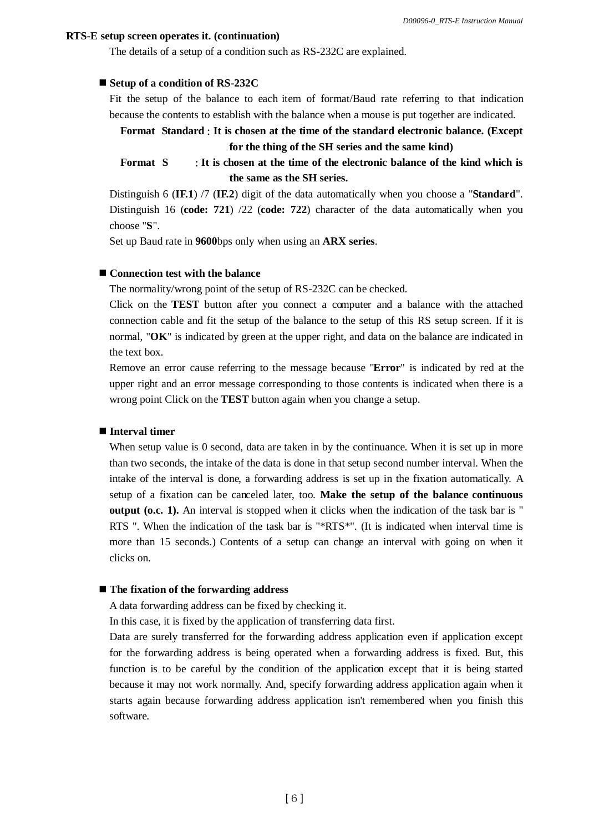### **RTS-E setup screen operates it. (continuation)**

The details of a setup of a condition such as RS-232C are explained.

#### ■ Setup of a condition of RS-232C

Fit the setup of the balance to each item of format/Baud rate referring to that indication because the contents to establish with the balance when a mouse is put together are indicated.

# **Format Standard It is chosen at the time of the standard electronic balance. (Except for the thing of the SH series and the same kind)**

**Format S It is chosen at the time of the electronic balance of the kind which is the same as the SH series.**

Distinguish 6 (**IF.1**) /7 (**IF.2**) digit of the data automatically when you choose a "**Standard**". Distinguish 16 (**code: 721**) /22 (**code: 722**) character of the data automatically when you choose "**S**".

Set up Baud rate in **9600**bps only when using an **ARX series**.

## ■ Connection test with the balance

The normality/wrong point of the setup of RS-232C can be checked.

Click on the **TEST** button after you connect a computer and a balance with the attached connection cable and fit the setup of the balance to the setup of this RS setup screen. If it is normal, "**OK**" is indicated by green at the upper right, and data on the balance are indicated in the text box.

Remove an error cause referring to the message because "**Error**" is indicated by red at the upper right and an error message corresponding to those contents is indicated when there is a wrong point Click on the **TEST** button again when you change a setup.

## **Interval timer**

When setup value is 0 second, data are taken in by the continuance. When it is set up in more than two seconds, the intake of the data is done in that setup second number interval. When the intake of the interval is done, a forwarding address is set up in the fixation automatically. A setup of a fixation can be canceled later, too. **Make the setup of the balance continuous output (o.c. 1).** An interval is stopped when it clicks when the indication of the task bar is " RTS ". When the indication of the task bar is "\*RTS\*". (It is indicated when interval time is more than 15 seconds.) Contents of a setup can change an interval with going on when it clicks on.

#### **The fixation of the forwarding address**

A data forwarding address can be fixed by checking it.

In this case, it is fixed by the application of transferring data first.

Data are surely transferred for the forwarding address application even if application except for the forwarding address is being operated when a forwarding address is fixed. But, this function is to be careful by the condition of the application except that it is being started because it may not work normally. And, specify forwarding address application again when it starts again because forwarding address application isn't remembered when you finish this software.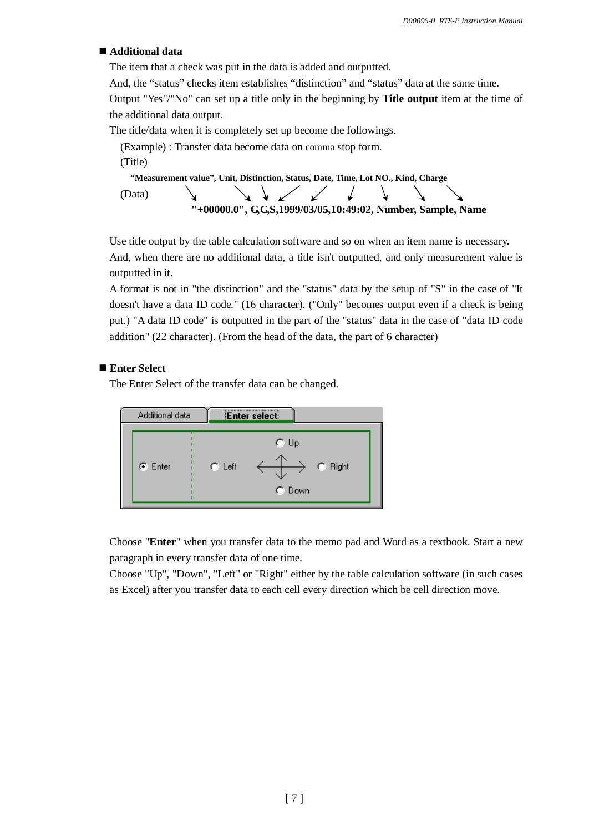### ■ Additional data

The item that a check was put in the data is added and outputted.

And, the "status" checks item establishes "distinction" and "status" data at the same time.

Output "Yes"/"No" can set up a title only in the beginning by **Title output** item at the time of the additional data output.

The title/data when it is completely set up become the followings.

(Example) : Transfer data become data on comma stop form. (Title)  **"Measurement value", Unit, Distinction, Status, Date, Time, Lot NO., Kind, Charge**<br>Data)  $\sqrt{ }$ (Data)

**"+00000.0", G,G,S,1999/03/05,10:49:02, Number, Sample, Name**

Use title output by the table calculation software and so on when an item name is necessary. And, when there are no additional data, a title isn't outputted, and only measurement value is outputted in it.

A format is not in "the distinction" and the "status" data by the setup of "S" in the case of "It doesn't have a data ID code." (16 character). ("Only" becomes output even if a check is being put.) "A data ID code" is outputted in the part of the "status" data in the case of "data ID code addition" (22 character). (From the head of the data, the part of 6 character)

## ■ Enter Select

The Enter Select of the transfer data can be changed.



Choose "**Enter**" when you transfer data to the memo pad and Word as a textbook. Start a new paragraph in every transfer data of one time.

Choose "Up", "Down", "Left" or "Right" either by the table calculation software (in such cases as Excel) after you transfer data to each cell every direction which be cell direction move.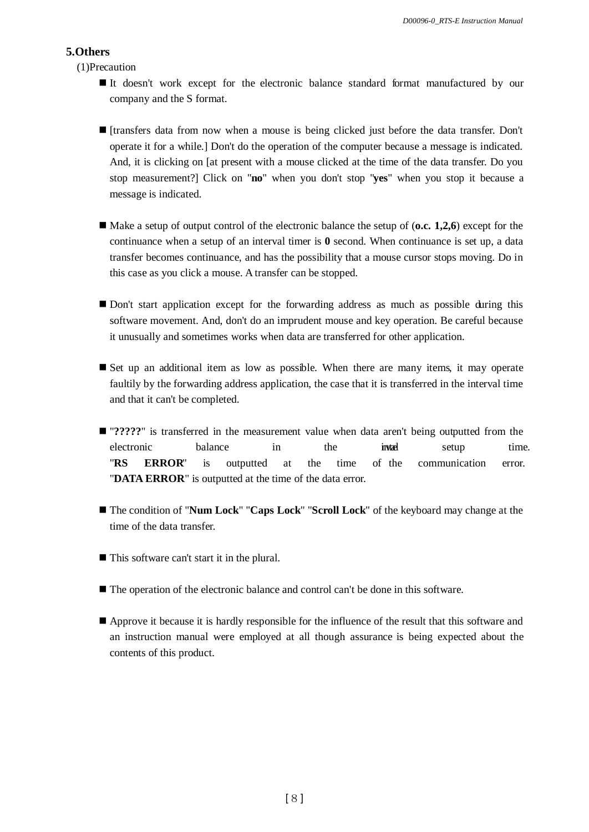## **5.Others**

(1)Precaution

- It doesn't work except for the electronic balance standard format manufactured by our company and the S format.
- [transfers data from now when a mouse is being clicked just before the data transfer. Don't operate it for a while.] Don't do the operation of the computer because a message is indicated. And, it is clicking on [at present with a mouse clicked at the time of the data transfer. Do you stop measurement?] Click on "**no**" when you don't stop "**yes**" when you stop it because a message is indicated.
- Make a setup of output control of the electronic balance the setup of (**o.c. 1,2,6**) except for the continuance when a setup of an interval timer is **0** second. When continuance is set up, a data transfer becomes continuance, and has the possibility that a mouse cursor stops moving. Do in this case as you click a mouse. A transfer can be stopped.
- Don't start application except for the forwarding address as much as possible during this software movement. And, don't do an imprudent mouse and key operation. Be careful because it unusually and sometimes works when data are transferred for other application.
- Set up an additional item as low as possible. When there are many items, it may operate faultily by the forwarding address application, the case that it is transferred in the interval time and that it can't be completed.
- $\blacksquare$  "?????" is transferred in the measurement value when data aren't being outputted from the electronic balance in the inte setup time. "**RS ERROR**" is outputted at the time of the communication error. "**DATA ERROR**" is outputted at the time of the data error.
- The condition of "**Num Lock**" "**Caps Lock**" "**Scroll Lock**" of the keyboard may change at the time of the data transfer.
- This software can't start it in the plural.
- The operation of the electronic balance and control can't be done in this software.
- Approve it because it is hardly responsible for the influence of the result that this software and an instruction manual were employed at all though assurance is being expected about the contents of this product.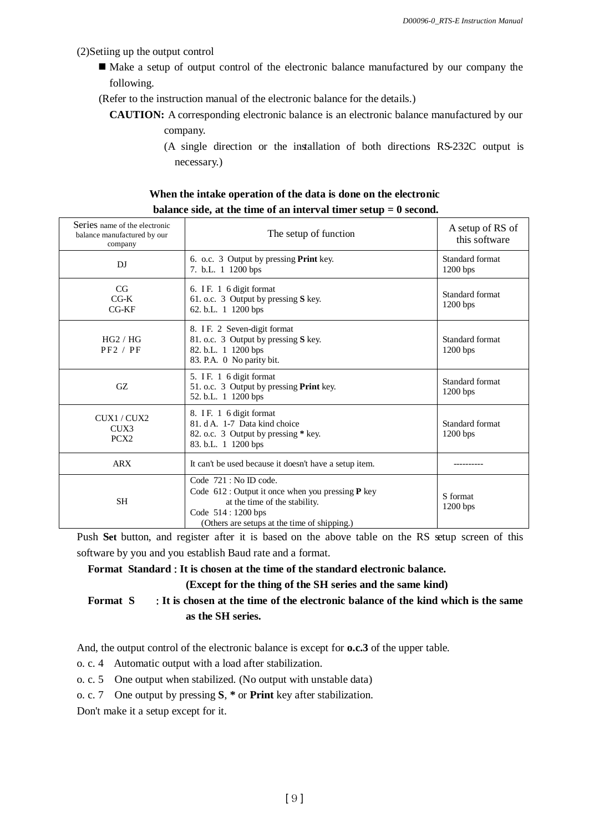(2)Setiing up the output control

- Make a setup of output control of the electronic balance manufactured by our company the following.
- (Refer to the instruction manual of the electronic balance for the details.)
	- **CAUTION:** A corresponding electronic balance is an electronic balance manufactured by our company.
		- (A single direction or the installation of both directions RS-232C output is necessary.)

| When the intake operation of the data is done on the electronic    |
|--------------------------------------------------------------------|
| balance side, at the time of an interval timer setup $= 0$ second. |

| Series name of the electronic<br>balance manufactured by our<br>company | The setup of function                                                                                                                                                                          | A setup of RS of<br>this software |
|-------------------------------------------------------------------------|------------------------------------------------------------------------------------------------------------------------------------------------------------------------------------------------|-----------------------------------|
| DI                                                                      | 6. o.c. 3 Output by pressing Print key.<br>7. b.L. 1 1200 bps                                                                                                                                  | Standard format<br>$1200$ bps     |
| CG<br>$C$ G-K<br>$CG-KF$                                                | 6. IF. 1 6 digit format<br>61. o.c. 3 Output by pressing S key.<br>62. b.L. 1 1200 bps                                                                                                         | Standard format<br>$1200$ bps     |
| HG2 / HG<br>PF2 / PF                                                    | 8. IF. 2 Seven-digit format<br>81. o.c. 3 Output by pressing S key.<br>82. b.L. 1 1200 bps<br>83. P.A. 0 No parity bit.                                                                        | Standard format<br>$1200$ bps     |
| GZ.                                                                     | 5. IF. 1 6 digit format<br>51. o.c. 3 Output by pressing Print key.<br>52. b.L. 1 1200 bps                                                                                                     | Standard format<br>$1200$ bps     |
| CUX1 / CUX2<br>CUX3<br>PCX <sub>2</sub>                                 | 8. IF. 1 6 digit format<br>81. d A. 1-7 Data kind choice<br>82. o.c. 3 Output by pressing * key.<br>83. b.L. 1 1200 bps                                                                        | Standard format<br>$1200$ bps     |
| <b>ARX</b>                                                              | It can't be used because it doesn't have a setup item.                                                                                                                                         |                                   |
| <b>SH</b>                                                               | Code $721 : No ID code.$<br>Code $612$ : Output it once when you pressing <b>P</b> key<br>at the time of the stability.<br>Code 514 : 1200 bps<br>(Others are setups at the time of shipping.) | S format<br>$1200$ bps            |

Push Set button, and register after it is based on the above table on the RS setup screen of this software by you and you establish Baud rate and a format.

**Format Standard It is chosen at the time of the standard electronic balance.**

**(Except for the thing of the SH series and the same kind)**

**Format S It is chosen at the time of the electronic balance of the kind which is the same as the SH series.**

And, the output control of the electronic balance is except for **o.c.3** of the upper table.

- o. c. 4 Automatic output with a load after stabilization.
- o. c. 5 One output when stabilized. (No output with unstable data)
- o. c. 7 One output by pressing **S**, **\*** or **Print** key after stabilization.

Don't make it a setup except for it.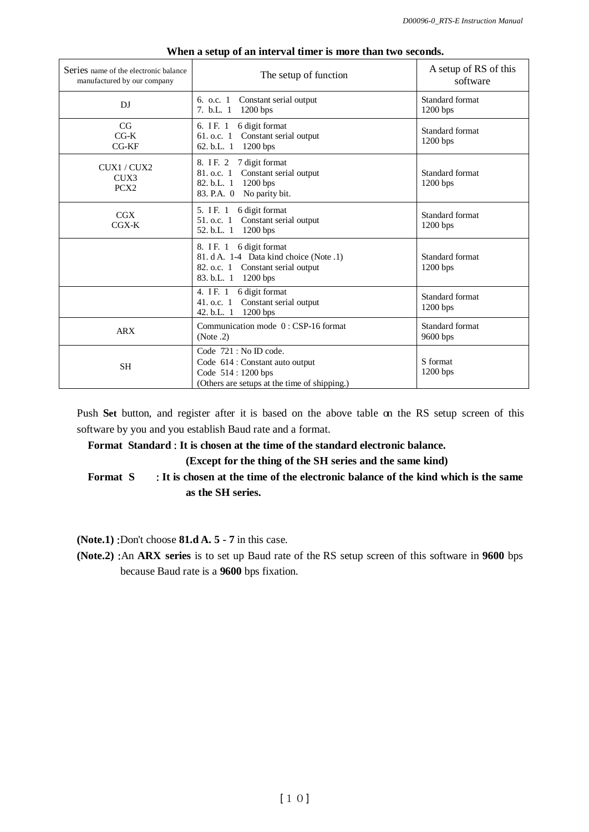| Series name of the electronic balance<br>manufactured by our company | The setup of function                                                                                                             | A setup of RS of this<br>software |
|----------------------------------------------------------------------|-----------------------------------------------------------------------------------------------------------------------------------|-----------------------------------|
| DJ                                                                   | Constant serial output<br>6. o.c. 1<br>7. b.L. 1<br>$1200$ bps                                                                    | Standard format<br>$1200$ bps     |
| CG<br>$CG-K$<br>$CG$ - $KF$                                          | 6 digit format<br>6. IF. 1<br>61. o.c. $1$<br>Constant serial output<br>62. b.L. 1 1200 bps                                       | Standard format<br>$1200$ bps     |
| CUX1 / CUX2<br>CUX3<br>PCX <sub>2</sub>                              | 7 digit format<br>8. IF. 2<br>81. o.c. 1<br>Constant serial output<br>82. b.L. 1<br>$1200$ bps<br>83. P.A. 0<br>No parity bit.    | Standard format<br>$1200$ bps     |
| CGX<br>$CGX-K$                                                       | 5. IF. 1<br>6 digit format<br>Constant serial output<br>51. o.c. 1<br>52. b.L. 1 1200 bps                                         | Standard format<br>$1200$ bps     |
|                                                                      | 8. IF. 1<br>6 digit format<br>81. d A. 1-4 Data kind choice (Note .1)<br>82. o.c. 1 Constant serial output<br>83. b.L. 1 1200 bps | Standard format<br>$1200$ bps     |
|                                                                      | 4. IF. 1 6 digit format<br>Constant serial output<br>41. o.c. $1$<br>$1200$ bps<br>42. b.L. $1$                                   | Standard format<br>1200 bps       |
| <b>ARX</b>                                                           | Communication mode 0: CSP-16 format<br>(Note.2)                                                                                   | Standard format<br>9600 bps       |
| <b>SH</b>                                                            | Code 721 : No ID code.<br>Code 614 : Constant auto output<br>Code 514 : 1200 bps<br>(Others are setups at the time of shipping.)  | S format<br>$1200$ bps            |

#### **When a setup of an interval timer is more than two seconds.**

Push **Set** button, and register after it is based on the above table on the RS setup screen of this software by you and you establish Baud rate and a format.

## **Format Standard It is chosen at the time of the standard electronic balance.**

**(Except for the thing of the SH series and the same kind)**

**Format S It is chosen at the time of the electronic balance of the kind which is the same as the SH series.**

 $(Note.1)$ : Don't choose  $81.dA.5 - 7$  in this case.

**(Note.2)** : An **ARX** series is to set up Baud rate of the RS setup screen of this software in 9600 bps because Baud rate is a **9600** bps fixation.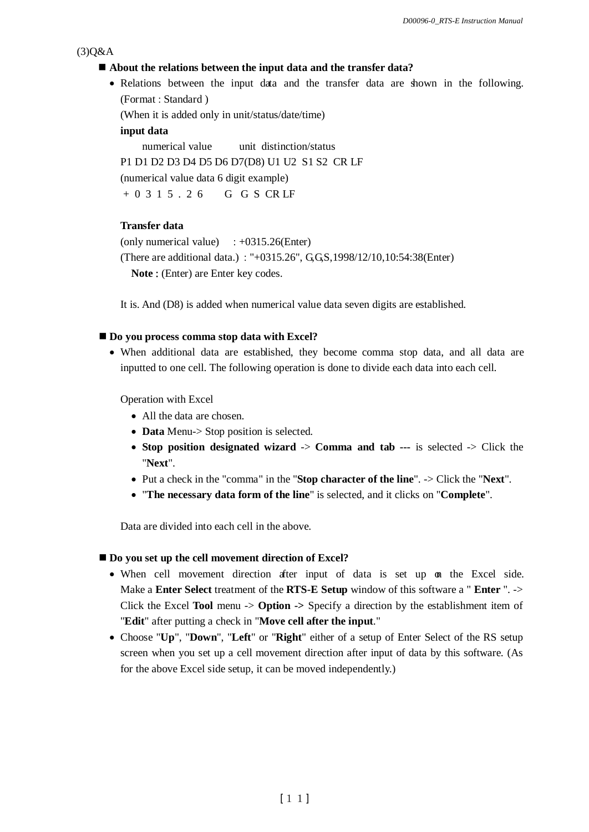#### $(3)Q&A$

#### **About the relations between the input data and the transfer data?**

• Relations between the input data and the transfer data are shown in the following. (Format : Standard)

(When it is added only in unit/status/date/time)

**input data**

numerical value unit distinction/status P1 D1 D2 D3 D4 D5 D6 D7(D8) U1 U2 S1 S2 CR LF (numerical value data 6 digit example) + 0 3 1 5 . 2 6 G G S CR LF

#### **Transfer data**

(only numerical value)  $\therefore +0315.26$ (Enter) (There are additional data.) "+0315.26", G,G,S,1998/12/10,10:54:38(Enter) **Note** : (Enter) are Enter key codes.

It is. And (D8) is added when numerical value data seven digits are established.

### ■ **Do you process comma stop data with Excel?**

 When additional data are established, they become comma stop data, and all data are inputted to one cell. The following operation is done to divide each data into each cell.

Operation with Excel

- All the data are chosen.
- **Data** Menu-> Stop position is selected.
- **Stop position designated wizard** -> **Comma and tab ---** is selected -> Click the "**Next**".
- Put a check in the "comma" in the "**Stop character of the line**". -> Click the "**Next**".
- "**The necessary data form of the line**" is selected, and it clicks on "**Complete**".

Data are divided into each cell in the above.

#### ■ Do you set up the cell movement direction of Excel?

- When cell movement direction after input of data is set up on the Excel side. Make a **Enter Select** treatment of the **RTS-E Setup** window of this software a " **Enter** ". -> Click the Excel **Tool** menu -> **Option ->** Specify a direction by the establishment item of "**Edit**" after putting a check in "**Move cell after the input**."
- Choose "**Up**", "**Down**", "**Left**" or "**Right**" either of a setup of Enter Select of the RS setup screen when you set up a cell movement direction after input of data by this software. (As for the above Excel side setup, it can be moved independently.)